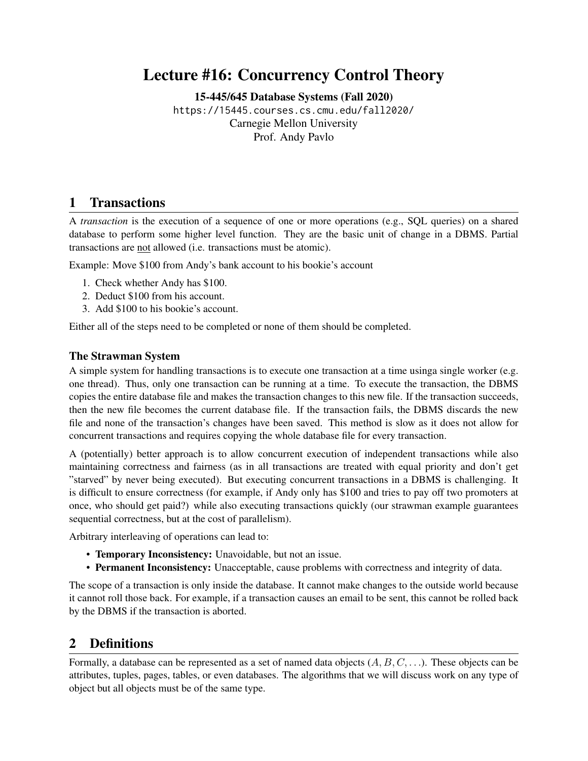# Lecture #16: Concurrency Control Theory

[15-445/645 Database Systems \(Fall 2020\)](https://15445.courses.cs.cmu.edu/fall2020/)

<https://15445.courses.cs.cmu.edu/fall2020/> Carnegie Mellon University [Prof. Andy Pavlo](http://www.cs.cmu.edu/~pavlo/)

### 1 Transactions

A *transaction* is the execution of a sequence of one or more operations (e.g., SQL queries) on a shared database to perform some higher level function. They are the basic unit of change in a DBMS. Partial transactions are not allowed (i.e. transactions must be atomic).

Example: Move \$100 from Andy's bank account to his bookie's account

- 1. Check whether Andy has \$100.
- 2. Deduct \$100 from his account.
- 3. Add \$100 to his bookie's account.

Either all of the steps need to be completed or none of them should be completed.

#### The Strawman System

A simple system for handling transactions is to execute one transaction at a time usinga single worker (e.g. one thread). Thus, only one transaction can be running at a time. To execute the transaction, the DBMS copies the entire database file and makes the transaction changes to this new file. If the transaction succeeds, then the new file becomes the current database file. If the transaction fails, the DBMS discards the new file and none of the transaction's changes have been saved. This method is slow as it does not allow for concurrent transactions and requires copying the whole database file for every transaction.

A (potentially) better approach is to allow concurrent execution of independent transactions while also maintaining correctness and fairness (as in all transactions are treated with equal priority and don't get "starved" by never being executed). But executing concurrent transactions in a DBMS is challenging. It is difficult to ensure correctness (for example, if Andy only has \$100 and tries to pay off two promoters at once, who should get paid?) while also executing transactions quickly (our strawman example guarantees sequential correctness, but at the cost of parallelism).

Arbitrary interleaving of operations can lead to:

- Temporary Inconsistency: Unavoidable, but not an issue.
- Permanent Inconsistency: Unacceptable, cause problems with correctness and integrity of data.

The scope of a transaction is only inside the database. It cannot make changes to the outside world because it cannot roll those back. For example, if a transaction causes an email to be sent, this cannot be rolled back by the DBMS if the transaction is aborted.

### 2 Definitions

Formally, a database can be represented as a set of named data objects  $(A, B, C, \ldots)$ . These objects can be attributes, tuples, pages, tables, or even databases. The algorithms that we will discuss work on any type of object but all objects must be of the same type.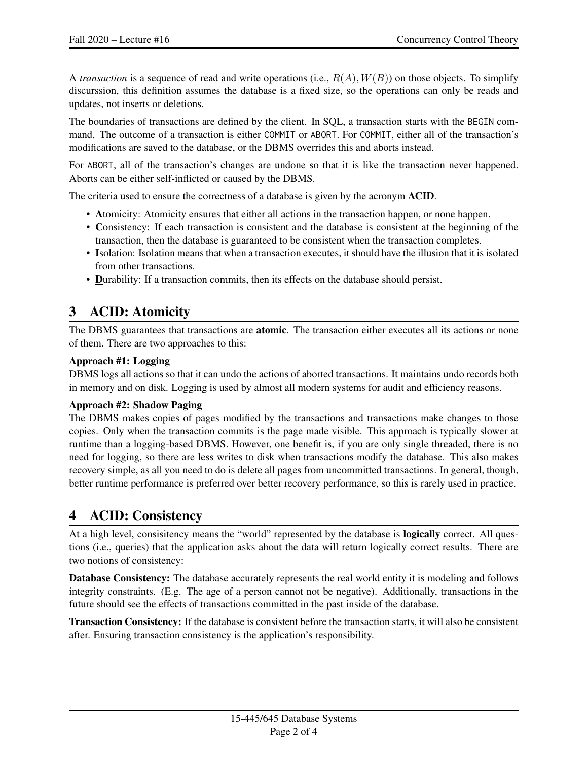A *transaction* is a sequence of read and write operations (i.e.,  $R(A), W(B)$ ) on those objects. To simplify discurssion, this definition assumes the database is a fixed size, so the operations can only be reads and updates, not inserts or deletions.

The boundaries of transactions are defined by the client. In SQL, a transaction starts with the BEGIN command. The outcome of a transaction is either COMMIT or ABORT. For COMMIT, either all of the transaction's modifications are saved to the database, or the DBMS overrides this and aborts instead.

For ABORT, all of the transaction's changes are undone so that it is like the transaction never happened. Aborts can be either self-inflicted or caused by the DBMS.

The criteria used to ensure the correctness of a database is given by the acronym ACID.

- Atomicity: Atomicity ensures that either all actions in the transaction happen, or none happen.
- Consistency: If each transaction is consistent and the database is consistent at the beginning of the transaction, then the database is guaranteed to be consistent when the transaction completes.
- Isolation: Isolation means that when a transaction executes, it should have the illusion that it is isolated from other transactions.
- Durability: If a transaction commits, then its effects on the database should persist.

### 3 ACID: Atomicity

The DBMS guarantees that transactions are **atomic**. The transaction either executes all its actions or none of them. There are two approaches to this:

#### Approach #1: Logging

DBMS logs all actions so that it can undo the actions of aborted transactions. It maintains undo records both in memory and on disk. Logging is used by almost all modern systems for audit and efficiency reasons.

#### Approach #2: Shadow Paging

The DBMS makes copies of pages modified by the transactions and transactions make changes to those copies. Only when the transaction commits is the page made visible. This approach is typically slower at runtime than a logging-based DBMS. However, one benefit is, if you are only single threaded, there is no need for logging, so there are less writes to disk when transactions modify the database. This also makes recovery simple, as all you need to do is delete all pages from uncommitted transactions. In general, though, better runtime performance is preferred over better recovery performance, so this is rarely used in practice.

### 4 ACID: Consistency

At a high level, consisitency means the "world" represented by the database is logically correct. All questions (i.e., queries) that the application asks about the data will return logically correct results. There are two notions of consistency:

Database Consistency: The database accurately represents the real world entity it is modeling and follows integrity constraints. (E.g. The age of a person cannot not be negative). Additionally, transactions in the future should see the effects of transactions committed in the past inside of the database.

Transaction Consistency: If the database is consistent before the transaction starts, it will also be consistent after. Ensuring transaction consistency is the application's responsibility.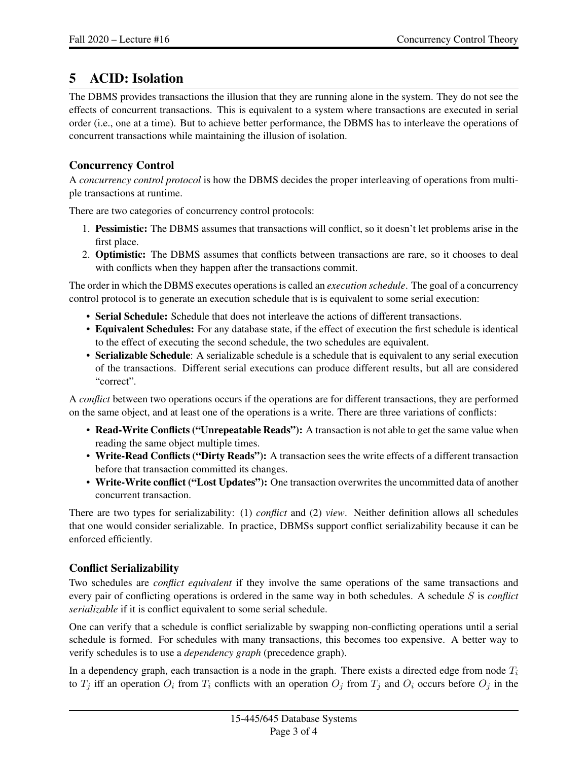## 5 ACID: Isolation

The DBMS provides transactions the illusion that they are running alone in the system. They do not see the effects of concurrent transactions. This is equivalent to a system where transactions are executed in serial order (i.e., one at a time). But to achieve better performance, the DBMS has to interleave the operations of concurrent transactions while maintaining the illusion of isolation.

#### Concurrency Control

A *concurrency control protocol* is how the DBMS decides the proper interleaving of operations from multiple transactions at runtime.

There are two categories of concurrency control protocols:

- 1. Pessimistic: The DBMS assumes that transactions will conflict, so it doesn't let problems arise in the first place.
- 2. Optimistic: The DBMS assumes that conflicts between transactions are rare, so it chooses to deal with conflicts when they happen after the transactions commit.

The order in which the DBMS executes operations is called an *execution schedule*. The goal of a concurrency control protocol is to generate an execution schedule that is is equivalent to some serial execution:

- Serial Schedule: Schedule that does not interleave the actions of different transactions.
- Equivalent Schedules: For any database state, if the effect of execution the first schedule is identical to the effect of executing the second schedule, the two schedules are equivalent.
- Serializable Schedule: A serializable schedule is a schedule that is equivalent to any serial execution of the transactions. Different serial executions can produce different results, but all are considered "correct".

A *conflict* between two operations occurs if the operations are for different transactions, they are performed on the same object, and at least one of the operations is a write. There are three variations of conflicts:

- Read-Write Conflicts ("Unrepeatable Reads"): A transaction is not able to get the same value when reading the same object multiple times.
- Write-Read Conflicts ("Dirty Reads"): A transaction sees the write effects of a different transaction before that transaction committed its changes.
- Write-Write conflict ("Lost Updates"): One transaction overwrites the uncommitted data of another concurrent transaction.

There are two types for serializability: (1) *conflict* and (2) *view*. Neither definition allows all schedules that one would consider serializable. In practice, DBMSs support conflict serializability because it can be enforced efficiently.

#### Conflict Serializability

Two schedules are *conflict equivalent* if they involve the same operations of the same transactions and every pair of conflicting operations is ordered in the same way in both schedules. A schedule S is *conflict serializable* if it is conflict equivalent to some serial schedule.

One can verify that a schedule is conflict serializable by swapping non-conflicting operations until a serial schedule is formed. For schedules with many transactions, this becomes too expensive. A better way to verify schedules is to use a *dependency graph* (precedence graph).

In a dependency graph, each transaction is a node in the graph. There exists a directed edge from node  $T_i$ to  $T_j$  iff an operation  $O_i$  from  $T_i$  conflicts with an operation  $O_j$  from  $T_j$  and  $O_i$  occurs before  $O_j$  in the